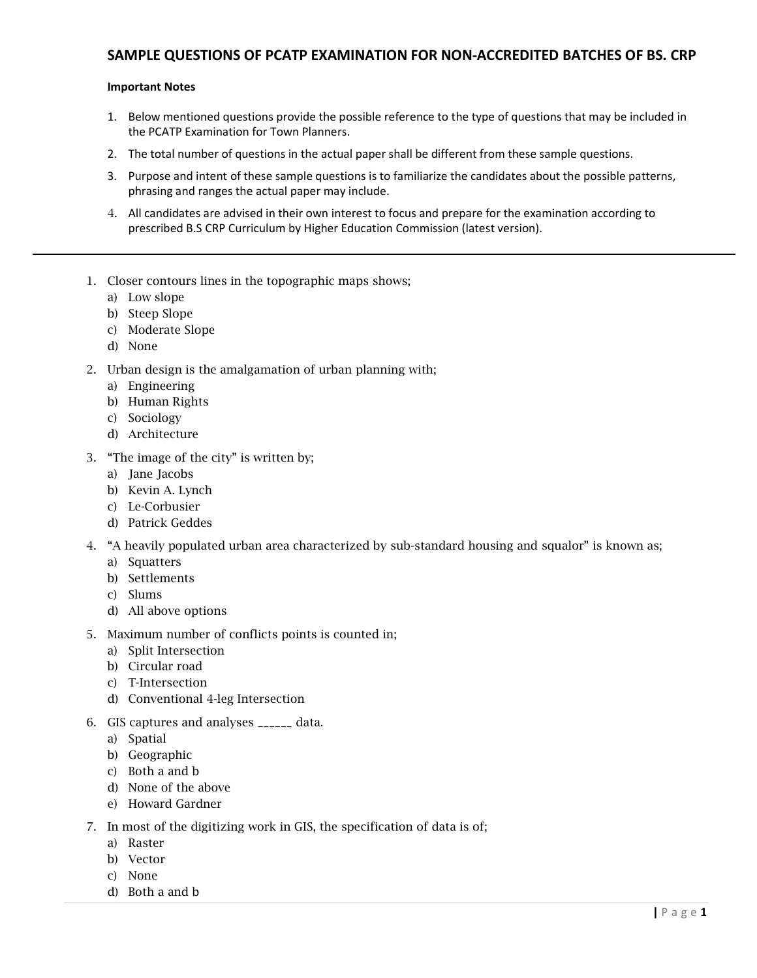## SAMPLE QUESTIONS OF PCATP EXAMINATION FOR NON-ACCREDITED BATCHES OF BS. CRP

## Important Notes

- 1. Below mentioned questions provide the possible reference to the type of questions that may be included in the PCATP Examination for Town Planners.
- 2. The total number of questions in the actual paper shall be different from these sample questions.
- 3. Purpose and intent of these sample questions is to familiarize the candidates about the possible patterns, phrasing and ranges the actual paper may include.
- 4. All candidates are advised in their own interest to focus and prepare for the examination according to prescribed B.S CRP Curriculum by Higher Education Commission (latest version).
- 1. Closer contours lines in the topographic maps shows;
	- a) Low slope
	- b) Steep Slope
	- c) Moderate Slope
	- d) None
- 2. Urban design is the amalgamation of urban planning with;
	- a) Engineering
	- b) Human Rights
	- c) Sociology
	- d) Architecture
- 3. "The image of the city" is written by;
	- a) Jane Jacobs
	- b) Kevin A. Lynch
	- c) Le-Corbusier
	- d) Patrick Geddes
- 4. "A heavily populated urban area characterized by sub-standard housing and squalor" is known as;
	- a) Squatters
	- b) Settlements
	- c) Slums
	- d) All above options
- 5. Maximum number of conflicts points is counted in;
	- a) Split Intersection
	- b) Circular road
	- c) T-Intersection
	- d) Conventional 4-leg Intersection
- 6. GIS captures and analyses \_\_\_\_\_\_ data.
	- a) Spatial
	- b) Geographic
	- c) Both a and b
	- d) None of the above
	- e) Howard Gardner
- 7. In most of the digitizing work in GIS, the specification of data is of;
	- a) Raster
	- b) Vector
	- c) None
	- d) Both a and b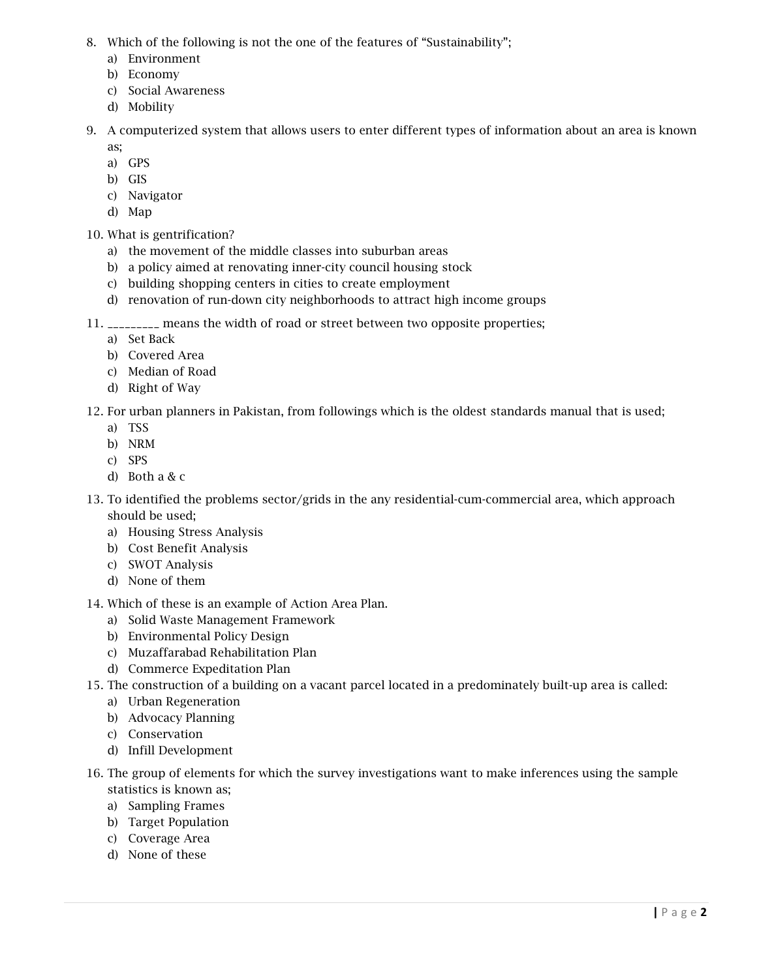- 8. Which of the following is not the one of the features of "Sustainability";
	- a) Environment
	- b) Economy
	- c) Social Awareness
	- d) Mobility
- 9. A computerized system that allows users to enter different types of information about an area is known as;
	- a) GPS
	- b) GIS
	- c) Navigator
	- d) Map
- 10. What is gentrification?
	- a) the movement of the middle classes into suburban areas
	- b) a policy aimed at renovating inner-city council housing stock
	- c) building shopping centers in cities to create employment
	- d) renovation of run-down city neighborhoods to attract high income groups
- 11. \_\_\_\_\_\_\_\_\_ means the width of road or street between two opposite properties;
	- a) Set Back
	- b) Covered Area
	- c) Median of Road
	- d) Right of Way
- 12. For urban planners in Pakistan, from followings which is the oldest standards manual that is used;
	- a) TSS
	- b) NRM
	- c) SPS
	- d) Both a & c
- 13. To identified the problems sector/grids in the any residential-cum-commercial area, which approach should be used;
	- a) Housing Stress Analysis
	- b) Cost Benefit Analysis
	- c) SWOT Analysis
	- d) None of them
- 14. Which of these is an example of Action Area Plan.
	- a) Solid Waste Management Framework
	- b) Environmental Policy Design
	- c) Muzaffarabad Rehabilitation Plan
	- d) Commerce Expeditation Plan
- 15. The construction of a building on a vacant parcel located in a predominately built-up area is called:
	- a) Urban Regeneration
	- b) Advocacy Planning
	- c) Conservation
	- d) Infill Development
- 16. The group of elements for which the survey investigations want to make inferences using the sample statistics is known as;
	- a) Sampling Frames
	- b) Target Population
	- c) Coverage Area
	- d) None of these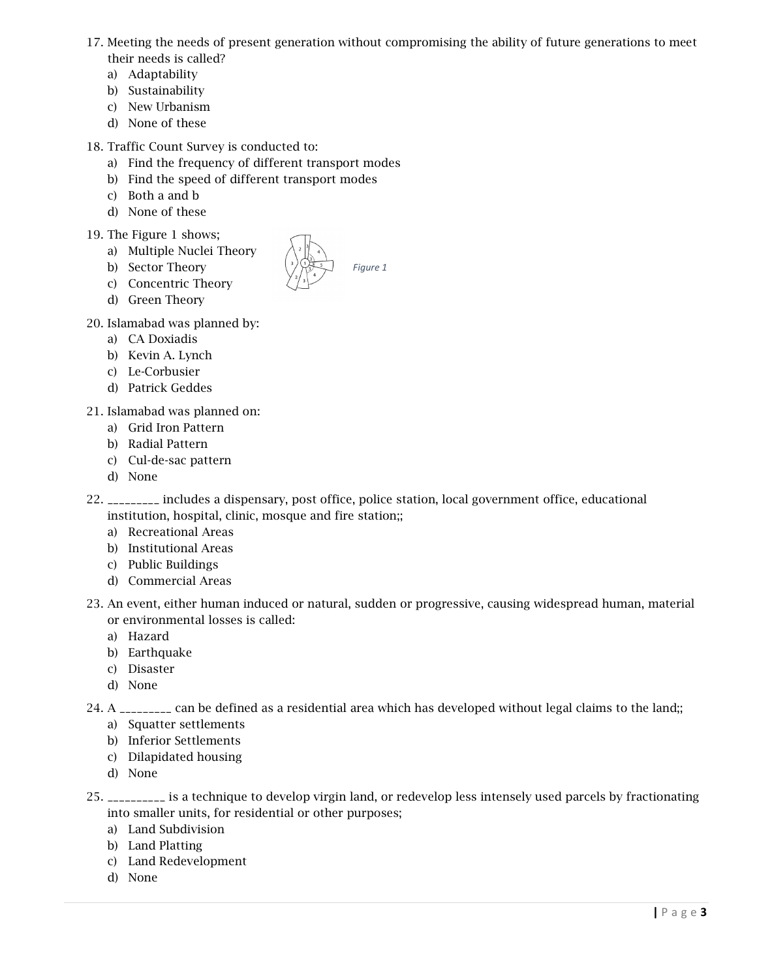- 17. Meeting the needs of present generation without compromising the ability of future generations to meet
	- their needs is called?
	- a) Adaptability
	- b) Sustainability
	- c) New Urbanism
	- d) None of these

18. Traffic Count Survey is conducted to:

- a) Find the frequency of different transport modes
- b) Find the speed of different transport modes
- c) Both a and b
- d) None of these

## 19. The Figure 1 shows;

- a) Multiple Nuclei Theory
- b) Sector Theory
- c) Concentric Theory
- d) Green Theory
- 20. Islamabad was planned by:
	- a) CA Doxiadis
	- b) Kevin A. Lynch
	- c) Le-Corbusier
	- d) Patrick Geddes
- 21. Islamabad was planned on:
	- a) Grid Iron Pattern
	- b) Radial Pattern
	- c) Cul-de-sac pattern
	- d) None
- 22. \_\_\_\_\_\_\_\_\_ includes a dispensary, post office, police station, local government office, educational institution, hospital, clinic, mosque and fire station;;
	- a) Recreational Areas
	- b) Institutional Areas
	- c) Public Buildings
	- d) Commercial Areas
- 23. An event, either human induced or natural, sudden or progressive, causing widespread human, material or environmental losses is called:
	- a) Hazard
	- b) Earthquake
	- c) Disaster
	- d) None
- 24. A \_\_\_\_\_\_\_\_\_ can be defined as a residential area which has developed without legal claims to the land;;
	- a) Squatter settlements
	- b) Inferior Settlements
	- c) Dilapidated housing
	- d) None
- 25. \_\_\_\_\_\_\_\_\_\_ is a technique to develop virgin land, or redevelop less intensely used parcels by fractionating into smaller units, for residential or other purposes;
	- a) Land Subdivision
	- b) Land Platting
	- c) Land Redevelopment
	- d) None